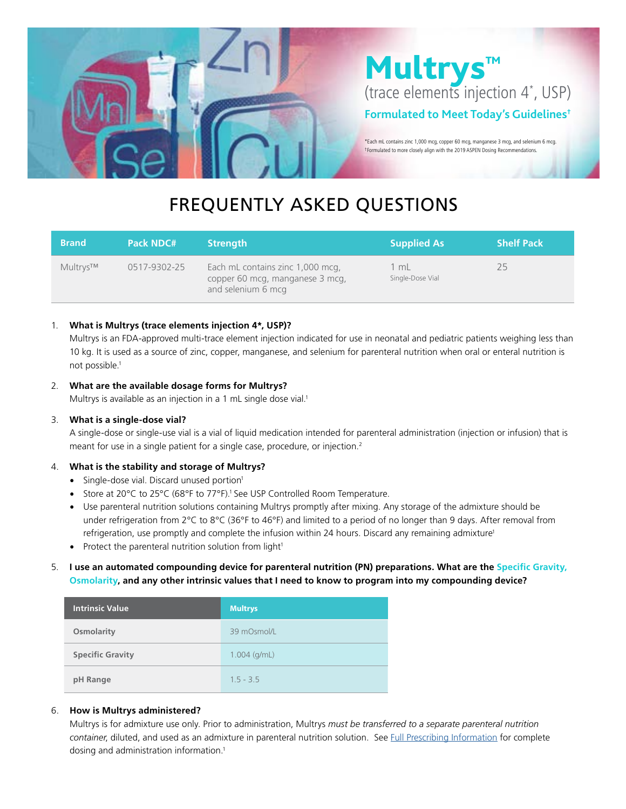

# FREQUENTLY ASKED QUESTIONS

| <b>Brand</b> | <b>Pack NDC#</b> | <b>Strength</b>                                                                           | <b>Supplied As</b>       | <b>Shelf Pack</b> |
|--------------|------------------|-------------------------------------------------------------------------------------------|--------------------------|-------------------|
| Multrys™     | 0517-9302-25     | Each mL contains zinc 1,000 mcg,<br>copper 60 mcg, manganese 3 mcg,<br>and selenium 6 mcg | 1 mL<br>Single-Dose Vial | 25                |

# 1. **What is Multrys (trace elements injection 4\*, USP)?**

Multrys is an FDA-approved multi-trace element injection indicated for use in neonatal and pediatric patients weighing less than 10 kg. It is used as a source of zinc, copper, manganese, and selenium for parenteral nutrition when oral or enteral nutrition is not possible.1

# 2. **What are the available dosage forms for Multrys?**

Multrys is available as an injection in a 1 mL single dose vial.<sup>1</sup>

# 3. **What is a single-dose vial?**

A single-dose or single-use vial is a vial of liquid medication intended for parenteral administration (injection or infusion) that is meant for use in a single patient for a single case, procedure, or injection.<sup>2</sup>

# 4. **What is the stability and storage of Multrys?**

- Single-dose vial. Discard unused portion<sup>1</sup>
- Store at 20°C to 25°C (68°F to 77°F).<sup>1</sup> See USP Controlled Room Temperature.
- Use parenteral nutrition solutions containing Multrys promptly after mixing. Any storage of the admixture should be under refrigeration from 2°C to 8°C (36°F to 46°F) and limited to a period of no longer than 9 days. After removal from refrigeration, use promptly and complete the infusion within 24 hours. Discard any remaining admixture<sup>1</sup>
- Protect the parenteral nutrition solution from light<sup>1</sup>

# 5. **I use an automated compounding device for parenteral nutrition (PN) preparations. What are the Specific Gravity, Osmolarity, and any other intrinsic values that I need to know to program into my compounding device?**

| <b>Intrinsic Value</b>  | <b>Multrys</b> |
|-------------------------|----------------|
| Osmolarity              | 39 mOsmol/L    |
| <b>Specific Gravity</b> | $1.004$ (g/mL) |
| pH Range                | $1.5 - 3.5$    |

# 6. **How is Multrys administered?**

Multrys is for admixture use only. Prior to administration, Multrys *must be transferred to a separate parenteral nutrition container*, diluted, and used as an admixture in parenteral nutrition solution. See [Full Prescribing Information](https://americanregent.com/media/3146/ref-1835_multrys-insert-in9302-rev-6-2021.pdf) for complete dosing and administration information.<sup>1</sup>